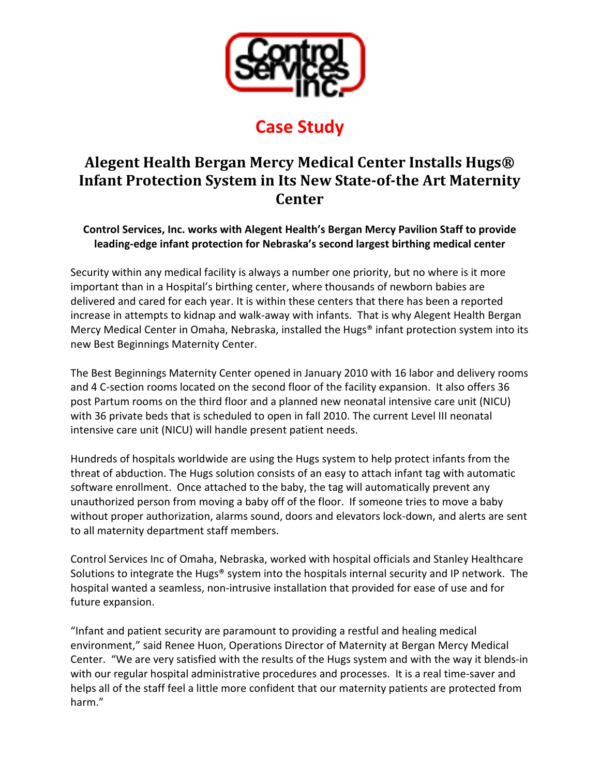

## **Case Study**

## **Alegent Health Bergan Mercy Medical Center Installs Hugs® Infant Protection System in Its New State-of-the Art Maternity Center**

**Control Services, Inc. works with Alegent Health's Bergan Mercy Pavilion Staff to provide leading-edge infant protection for Nebraska's second largest birthing medical center** 

Security within any medical facility is always a number one priority, but no where is it more important than in a Hospital's birthing center, where thousands of newborn babies are delivered and cared for each year. It is within these centers that there has been a reported increase in attempts to kidnap and walk-away with infants. That is why Alegent Health Bergan Mercy Medical Center in Omaha, Nebraska, installed the Hugs<sup>®</sup> infant protection system into its new Best Beginnings Maternity Center.

The Best Beginnings Maternity Center opened in January 2010 with 16 labor and delivery rooms and 4 C-section rooms located on the second floor of the facility expansion. It also offers 36 post Partum rooms on the third floor and a planned new neonatal intensive care unit (NICU) with 36 private beds that is scheduled to open in fall 2010. The current Level III neonatal intensive care unit (NICU) will handle present patient needs.

Hundreds of hospitals worldwide are using the Hugs system to help protect infants from the threat of abduction. The Hugs solution consists of an easy to attach infant tag with automatic software enrollment. Once attached to the baby, the tag will automatically prevent any unauthorized person from moving a baby off of the floor. If someone tries to move a baby without proper authorization, alarms sound, doors and elevators lock-down, and alerts are sent to all maternity department staff members.

Control Services Inc of Omaha, Nebraska, worked with hospital officials and Stanley Healthcare Solutions to integrate the Hugs® system into the hospitals internal security and IP network. The hospital wanted a seamless, non-intrusive installation that provided for ease of use and for future expansion.

"Infant and patient security are paramount to providing a restful and healing medical environment," said Renee Huon, Operations Director of Maternity at Bergan Mercy Medical Center. "We are very satisfied with the results of the Hugs system and with the way it blends-in with our regular hospital administrative procedures and processes. It is a real time-saver and helps all of the staff feel a little more confident that our maternity patients are protected from harm."